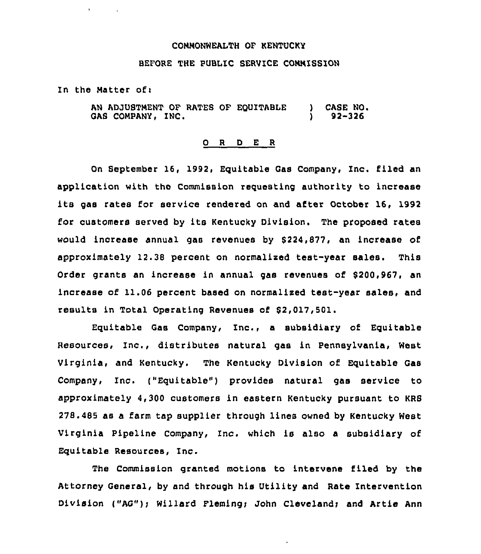### CONNONWEALTH OF KENTUCKY

## BEFORE THE PUBLIC SERVICE CONNISSION

In the Matter of:

 $\mathbf{r}$  .

AN ADJUSTMENT OF RATES OF EQUITABLE GAS COMPANY, INC. ) CASE NO. ) 92-326

### 0 <sup>R</sup> <sup>D</sup> E R

On September 16, 1992, Equitable Gas Company, Inc. filed an application with tho Commission requesting authority to increase its gas rates for service rendered on and after October 16, 1992 for customers served by its Kentucky Division. The proposed rates would increase annual gas revenues by 8224,877, an increase of approximately 12.38 percent on normalized test-year sales. This Order grants an increase in annual gas revenues of \$200,967, an increase of 11.06 percent based on normalised test-year sales, and results in Total Operating Revenues of \$2,017,501.

Equitable Gas Company, Inc., <sup>a</sup> subsidiary of Equitable Resources, Inc., distributes natural gas in Pennsylvania, West Virginia, and Kentucky. The Kentucky Division of Equitable Gas Company, Inc. ("Equitable") provides natural gas service to approximately 4,300 customers in eastern Kentucky pursuant to KRS 278.485 as a farm tap supplier through lines owned by Kentucky West Virginia Pipeline Company, Inc. which is also a subsidiary of Equitable Resources, Inc.

The Commission granted motions to intervene filed by the Attorney General, by and through his Utility and Rate Intervention Division ("AG"); Willard Fleming; John Cleveland; and Artie Ann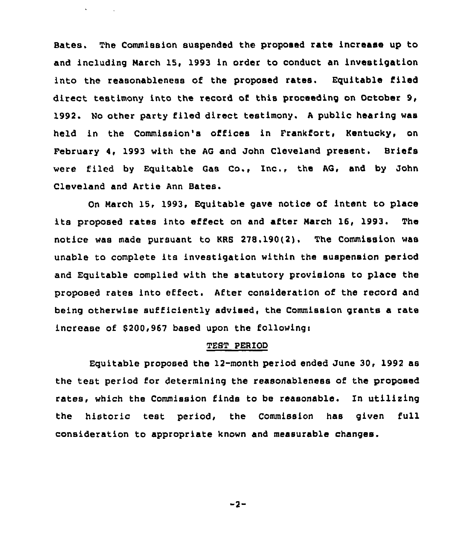Bates. The Commission suspended the proposed rate increase up to and including Narch 15, 1993 in order to conduct an investigation into the reasonableness of the proposed rates. Equitable filed direct testimony into the record of this proceeding on October 9, 1992. No other party filed direct testimony. <sup>A</sup> public hearing was held in the Commission's offices in Frankfort, Kentucky, on February 4, 1993 with the AG and John Cleveland present. Briefs were filed by Equitable Gas Co., Inc., the AG, and by John Cleveland and Artie Ann Bates.

 $\mathbf{v} = \mathbf{v} \times \mathbf{v}$  ,  $\mathbf{v} = \mathbf{v} \times \mathbf{v}$ 

On Narch 15, 1993, Eguitable gave notice of intent to place its proposed rates into effect on and after Narch 16, 1993. The notice was made pursuant to KRS 278.190(2). The Commission was unable to complete its investigation within the suspension period and Equitable complied with the statutory provisions to place the proposed rates into effect. After consideration of the record and being otherwise sufficiently advised, the Commission grants a rate increase of \$200,967 based upon the following:

### TEST PERIOD

Equitable proposed the 12-month period ended June 30, 1992 as the test period for determining the reasonableness of the proposed rates, which the Commission finds to be reasonable. In utilizing the historic test period, the Commission has given full consideration to appropriate known and measurable changes.

 $-2-$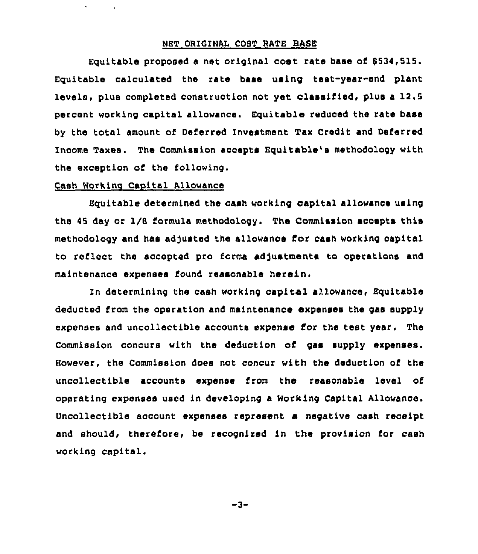## NET ORIGINAL COST RATE BASE

Equitable proposed a net original cost rate base of \$534,515. Equitable calculated the rate base using test-year-end plant levels, plus completed construotion not yet classified, plus a 12.5 percent working capital allowance. Equitable reduced the rate base by the total amount of Deferred Investment Tax Credit and Deferred Income Taxes. The Commission accepts Equitable's methodology with the exception of the following.

# Cash working Capital Allowance

 $\mathbf{v}$ 

Equitable determined the cash working capital allowance using the 45 day or I/8 formula methodology. The Commission accepts this methodology and has adjusted the allowance for cash working capital to reflect the accepted pro forma adjustments to operations and maintenance expenses found reasonable herein.

In determining the cash working capital allowance, Equitable deducted from the operation and maintenance axpenses the gas supply expenses and uncollectible accounts expense for the test year. The Commission concurs with the deduction of gas supply expenses. However, the Commission does not concur with the deduction of the uncollectible accounts expense from the reasonable level of operating expenses used in developing a Working Capital Allowance. Uncollectible account expenses represent a negative cash receipt and should, therefore, be recognised in the provision for cash working capital.

 $-3-$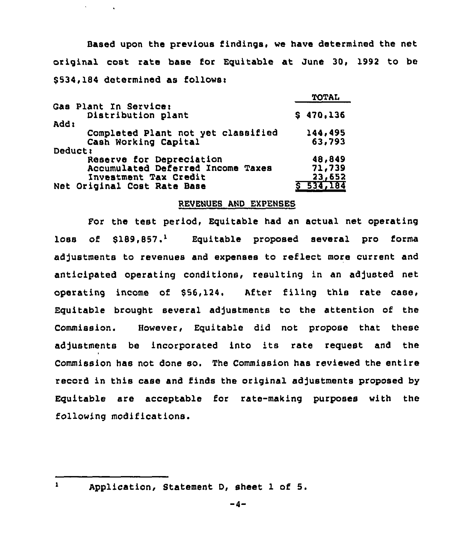Based upon the previous findings, we have determined the net original cost rate base for Equitable at June 30, 1992 to be \$534,184 determined as follows:

|                                    | TOTAL     |
|------------------------------------|-----------|
| Gas Plant In Service:              |           |
| Distribution plant                 | \$470,136 |
| add:                               |           |
| Completed Plant not yet classified | 144,495   |
| Cash Working Capital               | 63,793    |
| Deduct:                            |           |
| Reserve for Depreciation           | 48,849    |
| Accumulated Deferred Income Taxes  | 71,739    |
| Investment Tax Credit              | 23,652    |
| Net Original Cost Rate Base        | 534,184   |
|                                    |           |

## REVENUES AND EXPENSES

For the test period, Equitable had an actual net operating loss of  $$189.857.^1$  Equitable proposed several pro forma adjustments to revenues and expenses to reflect more current and anticipated operating conditions, resulting in an adjusted net operating income of \$56,124. After filing this rate case, Equitable brought several adjustments to the attention of the Commission. However, Equitable did not propose that these adjustments be incorporated into its rate request and the Commission has not done so. The Commission has reviewed the entire record in this case and finds the original adjustments proposed by Equitable are acceptable for rate-making purposes with the following modifications.

 $\mathbf{1}$ 

Application, Statement D, sheet 1 of 5.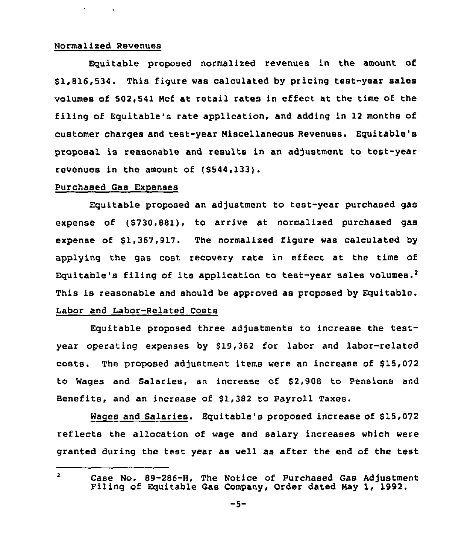### Normalized Revenues

 $\mathbf{A} = \left\{ \begin{array}{ll} 0 & \text{if } \mathbf{A} \neq \mathbf{0} \end{array} \right.$ 

Equitable proposed normalized revenues in the amount of \$1,816,534. This figure was calculated by pricing test-year sales volumes of 502,541 Nci at retail rates in effect at the time of the filing of Equitable's rate application, and adding in 12 months of customer charges and test-year Niscellaneous Revenues. Equitable's proposal is reasonable and results in an adjustment to test-year revenues in the amount of (\$544,133).

## Purchased Gas Expenses

Equitable proposed an adjustment to test-year purchased gas expense of (\$730,881), to arrive at normalized purchased gas expense of \$1,367,917. The normalized figure was calculated by applying the gas cost recovery rate in effect at the time of Equitable's filing of its application to test-year sales volumes.<sup>2</sup> This is reasonable and should be approved as proposed by Equitable. Labor and Labor-Related Costs

Equitable proposed three adjustments to increase the testyear operating expenses by \$19,362 for labor and labor-related costs. The proposed adjustment items were an increase of \$15,072 to Wages and Salaries, an increase of \$2,908 to Pensions and Benefits, and an increase of \$1,382 to Payroll Taxes.

Waqes and Salaries. Equitable's proposed increase of \$15,072 reflects the allocation of wage and salary increases which were granted during the test year as well as after the end of the test

 $\overline{\mathbf{2}}$ Case No. 89-286-H, The Notice of Purchased Gas Adjustment Filing of Equitable Gas Company, Order dated Nay 1, 1992.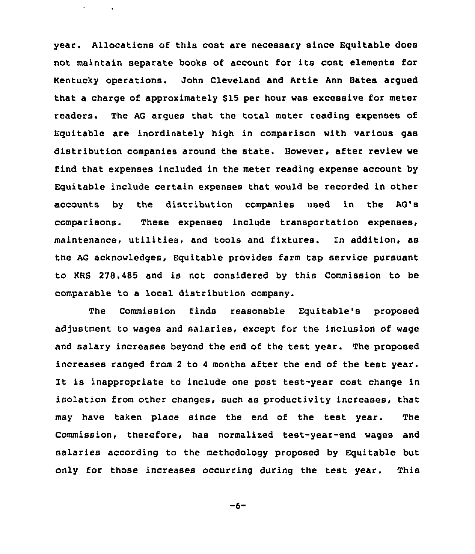year. Allocations of this cost are necessary since Equitable does not maintain separate books of account for its cost elements for Kentucky operations. John Cleveland and Artie Ann Bates argued that a charge of approximately \$15 per hour was excessive for meter readers. The AG argues that the total meter reading expenses of Equitable are inordinately high in comparison with various gas distribution companies around the state. However, after review we find that expenses included in the meter reading expense account by Equitable include certain expenses that would be recorded in other accounts by the distribution companies used in the AG's comparisons. These expenses include transportation expenses, maintenance, utilities, and tools and fixtures. In addition, as the AG acknowledges, Equitable provides farm tap service pursuant to KRS 278.485 and is not considered by this Commission to be comparable to a local distribution company.

 $\sim 10^7$ 

The Commission finds reasonable Equitable's proposed adjustment to wages and salaries, except for the inclusion of wage and salary increases beyond the end of the test year, The proposed increases ranged from <sup>2</sup> to <sup>4</sup> months after the end of the test year. It is inappropriate to include one post test-year cost change in isolation from other changes, such as productivity increases, that may have taken place since the end of the test year. The Commission, therefore, has normalized test-year-end wages and salaries according to the methodology proposed by Equitable but only for those increases occurring during the test year. This

 $-6-$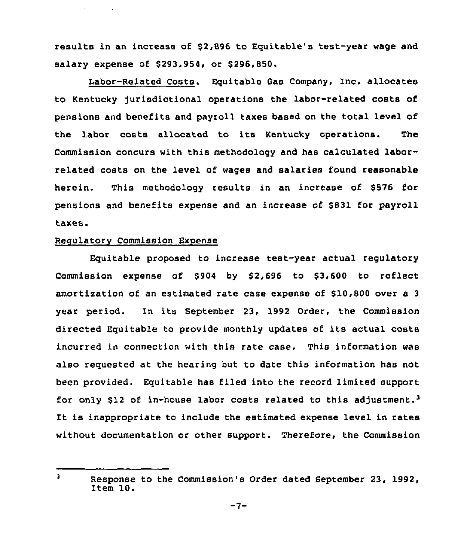results in an increase of \$2,896 to Equitable's test-year wage and salary expense of \$293,954, or \$296,850.

Labor-Related Costs. Equitable Gas Company, Inc. allocates to Kentucky jurisdictional operations the labor-related costs of pensions and benefits and payroll taxes based on the total level of the labor costs allocated to its Kentucky operations. The Commission concurs with this methodology and has calculated laborrelated costs on the level of wages and salaries found reasonable herein. This methodology results in an increase of \$576 for pensions and benefits expense and an increase of \$831 for payroll taxes.

# **Regulatory Commission Expense**

 $\mathbf{v} = \mathbf{v}$ 

 $\sim 100$ 

Equitable proposed to increase teat-year actual regulatory Commission expense of \$904 by \$2,696 to \$3,600 to reflect amortization of an estimated rate case expense of \$10,800 over a 3 year period. In its September 23, 1992 Order, the Commission directed Equitable to provide monthly updates of its actual costs incurred in connection with this rate case. This information was also requested at the hearing but to date this information has not been provided. Equitable has filed into the record limited support for only \$12 of in-house labor costs related to this adjustment.<sup>3</sup> It is inappropriate to include the estimated expense level in rates without documentation or other support. Therefore, the Commission

 $\overline{\mathbf{3}}$ Response to the Commission's Order dated September 23, 1992, Item 10.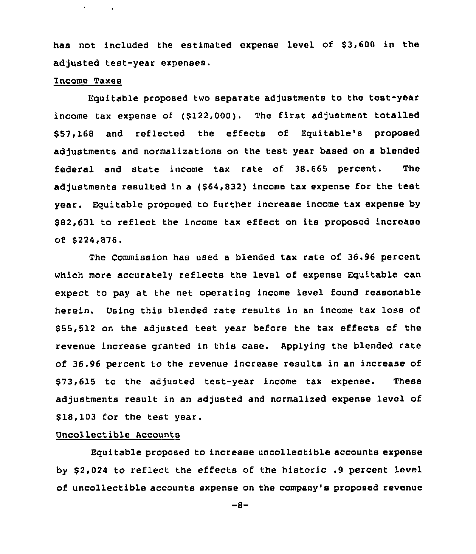has not included the estimated expense level of \$3,600 in the adjusted test-year expenses.

## Income Taxes

 $\mathbf{r} = \left\{ \mathbf{r} \in \mathbb{R}^d \mid \mathbf{r} \right\}$ 

Equitable proposed two separate adjustments to the test-year income tax expense of (\$122,000), The first adjustment totalled \$ 57,168 and reflected the effects of Equitable's proposed adjustments and normalizations on the test year based on a blended federal and state income tax rate of 38.665 percent. The adjustments resulted in a (\$64,832) income tax expense for the test year. Equitable proposed to further increase income tax expense by \$82,631 to reflect the income tax effect on its proposed increase of \$224,876.

The Commission has used a blended tax rate of 36.96 percent which more accurately reflects the level of expense Equitable can expect to pay at the net operating income level found reasonable herein. Using this blended rate results in an income tax loss of \$ 55,512 on the adjusted test year before the tax effects of the revenue increase granted in this case. Applying the blended rate of 36.96 percent to the revenue increase results in an increase of \$73,615 to the adjusted test-year income tax expense. These adjustments result in an adjusted and normalized expense level of \$18,103 for the test year.

# Uncollectible Accounts

Equitable proposed to increase uncollectible accounts expense by \$ 2,024 to reflect the effects of the historic .9 percent level of uncollectible accounts expense on the company's proposed revenue

 $-8-$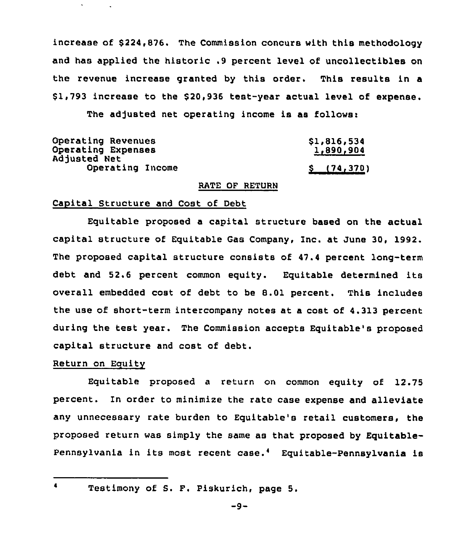increase of \$224,876. The Commission concurs with this methodology and has applied the historic .9 percent level of uncollectibles on the revenue increase granted by this order. This results in a \$ 1,793 increase to the \$ 20,936 test-year actual level of expense.

The adjusted net operating income is as follows

| Operating Revenues                 | \$1,816,534 |
|------------------------------------|-------------|
| Operating Expenses<br>Adjusted Net | 1,890,904   |
| Operating Income                   | S(74, 370)  |

# RATE OF RETURN

#### Capital Structure and Cost of Debt

Equitable proposed a capital structure based on the actual capital structure of Equitable Gas Company, Inc. at June 30, 1992. The proposed capital structure consists of 47.4 percent long-term debt and 52.6 percent common equity. Equitable determined its overall embedded cost of debt to be 8.01 percent. This includes the use of short-term intercompany notes at a cost of 4.313 percent during the test year. The Commission accepts Equitable's proposed capital structure and cost of debt.

# Return on Equity

Equitable proposed a return on common equity of 12.75 percent. In order to minimize the rate case expense and alleviate any unnecessary rate burden to Equitable's retail customers, the proposed return was simply the same as that proposed by Equitable-Pennsylvania in its most recent case.<sup>4</sup> Equitable-Pennsylvania is

 $\blacktriangleleft$ 

Testimony of S. F. Piskurich, page 5.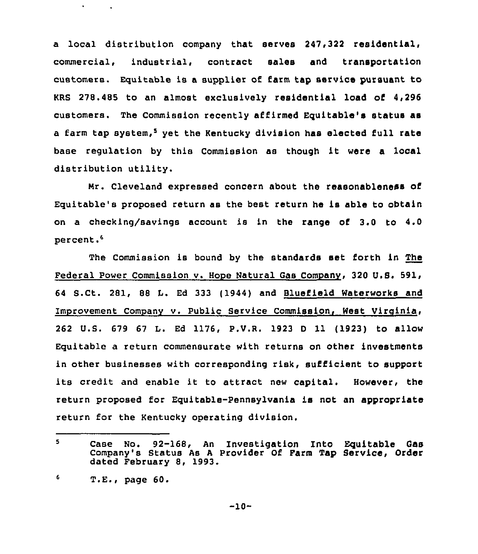a local distribution company that serves 247,322 residential, commercial, industrial, contract sales and transportation customers. Equitable is a supplier of farm tap service pursuant to KRS 278.485 to an almost exclusively residential load of <sup>4</sup> 296 customers. The Commission recently affirmed Equitable's status as a farm tap system,<sup>5</sup> yet the Kentucky division has elected full rate base regulation by this Commission as though it were <sup>a</sup> local distribution utility.

Nr. Cleveland expressed concern about the reasonableness of Equitable's proposed return as the best return he is able to obtain on a checking/savings account is in the range of 3.0 to 4.0 percent.<sup>6</sup>

The Commission is bound by the standards set forth in The Federal Power Commission v. Hope Natural Gas Company, 320 U.S. 591, 64 S.Ct. 281, 88 L. Ed 333 (1944) and Bluefield Waterworks and Improvement Companv v. Public Service Commission, West Vircinia, 262 U.S. 679 67 L. Ed 1176, P.V.R. 1923 <sup>D</sup> 11 (1923) to allow Equitable a return commensurate with returns on other investments in other businesses with corresponding risk, sufficient to support its credit and enable it to attract new capital. However, the return proposed for Equitable-Pennsylvania is not an appropriate return for the Kentucky operating division.

<sup>5</sup> case No. 92-168, An Investigation Into Equitable Gas Company's Status As <sup>A</sup> Provider Of Farm Tap Service, Order dated February 8, 1993.

<sup>6</sup> T.E., page 60.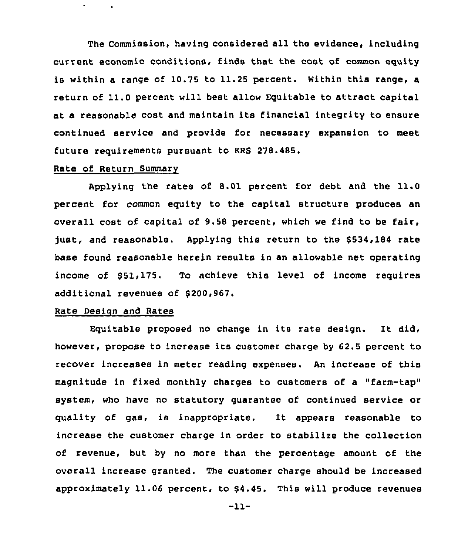The Commission, having considered all the evidence, including current economic conditions, finds that the cost of common equity is within a range of 10.75 to 11.25 percent. Within this range, a return of 11.0 percent will best allow Equitable to attract capital at a reasonable cost and maintain its financial integrity to ensure continued service and provide for necessary expansion to meet future requirements pursuant to KRS 278.485.

# Rate of Return Summarv

Applying the rates of 8.01 percent for debt and the 11.0 percent for common equity to the capital structure produces an overall cost of capital of 9.58 percent, which we find to be fair, just, and reasonable. Applying this return to the \$534,184 rate base found reasonable herein results in an allowable net operating income of 551,175. To achieve this level of income requires additional revenues of 8200,967.

## Rate Design and Rates

Equitable proposed no change in its rate design. It did, however, propose to increase its customer charge by 62.5 percent to recover increases in meter reading expenses. An increase of this magnitude in fixed monthly charges to customers of a "farm-tap" system, who have no statutory guarantee of continued service or quality of gas, is inappropriate. It appears reasonable to increase the customer charge in order to stabilize the collection of revenue, but by no more than the percentage amount of the overall increase granted. The customer charge should be increased approximately 11.06 percent, to \$4.45. This will produce revenues

-11-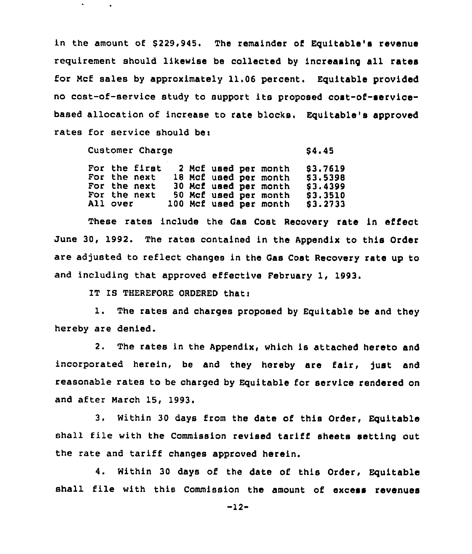in the amount of \$229,945. The remainder of Equitable's revenue requirement should likewise be collected by increasing all rates for Ncf sales by approximately 11.06 percent. Equitable provided no cost-of-service study to support its proposed cost-of-servicebased allocation of increase to rate blocks. Equitable's approved rates for service should bei

| Customer Charge |          |                                                               |  |  |  | <b>S4.45</b> |                                                                                                                           |                                                          |
|-----------------|----------|---------------------------------------------------------------|--|--|--|--------------|---------------------------------------------------------------------------------------------------------------------------|----------------------------------------------------------|
|                 | All over | For the first<br>For the next<br>For the next<br>For the next |  |  |  |              | 2 Mcf used per month<br>18 Mcf used per month<br>30 Mcf used per month<br>50 Mcf used per month<br>100 Mcf used per month | \$3.7619<br>\$3,5398<br>\$3,4399<br>\$3.3510<br>\$3.2733 |

These rates include the Cas Cost Recovery rate in effect June 30, 1992. The rates contained in the Appendix to this Order are adjusted to reflect changes in the Gas Cost Recovery rate up to and including that approved effective February 1, 1993.

IT IS THEREFORE ORDERED that)

1. The rates and charges proposed by Equitable be and they hereby are denied.

2. The rates in the Appendix, which is attached hereto and incorporated herein, be and they hereby are fair, just and reasonable rates to be charged by Equitable for service rendered on and after March 15, 1993.

3. Within 30 days irom the date of this Order, Equitable shall file with the Commission revised tariff sheets setting out the rate and tariff changes approved herein.

4. Within 30 days of the date of this Order, Equitable shall file with this Commission the amount of excess revenues

 $-12-$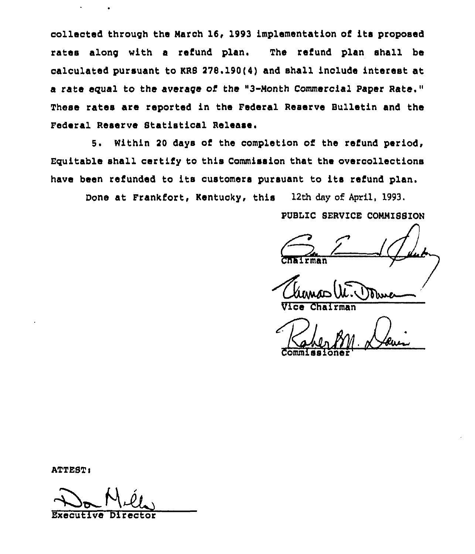collected through the Narch 16, 1993 implementation of its proposed rates along with a refund plan. The refund plan shall be calculated pursuant to KRS 278.190(4) and shall include interest at a rate equal to the average of the "3-Nonth Commercial Paper Rate." These rates are reported in the Federal Reserve Bulletin and the Federal Reserve Statistical Release.

5. Within 20 days of the completion of the refund period, Eguitable shall certify to this Commission that the overcollections have been refunded to its customers pursuant to its refund plan.

Done at Frankfort, Kentuoky, this 12th day of April, 1993.

PUBLIC SERVICE CONNISSION

rman

Vice Chairman

Commissione

ATTEST)

Do Mill